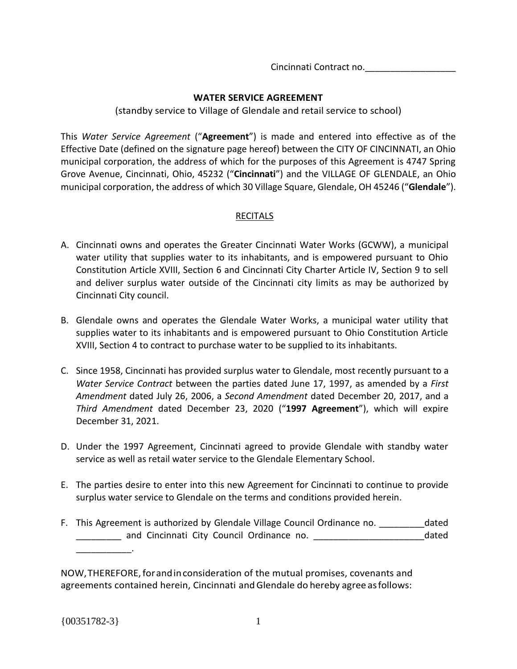Cincinnati Contract no.\_\_\_\_\_\_\_\_\_\_\_\_\_\_\_\_\_\_

### **WATER SERVICE AGREEMENT**

(standby service to Village of Glendale and retail service to school)

This *Water Service Agreement* ("**Agreement**") is made and entered into effective as of the Effective Date (defined on the signature page hereof) between the CITY OF CINCINNATI, an Ohio municipal corporation, the address of which for the purposes of this Agreement is 4747 Spring Grove Avenue, Cincinnati, Ohio, 45232 ("**Cincinnati**") and the VILLAGE OF GLENDALE, an Ohio municipal corporation, the address of which 30 Village Square, Glendale, OH 45246 ("**Glendale**").

# RECITALS

- A. Cincinnati owns and operates the Greater Cincinnati Water Works (GCWW), a municipal water utility that supplies water to its inhabitants, and is empowered pursuant to Ohio Constitution Article XVIII, Section 6 and Cincinnati City Charter Article IV, Section 9 to sell and deliver surplus water outside of the Cincinnati city limits as may be authorized by Cincinnati City council.
- B. Glendale owns and operates the Glendale Water Works, a municipal water utility that supplies water to its inhabitants and is empowered pursuant to Ohio Constitution Article XVIII, Section 4 to contract to purchase water to be supplied to its inhabitants.
- C. Since 1958, Cincinnati has provided surplus water to Glendale, most recently pursuant to a *Water Service Contract* between the parties dated June 17, 1997, as amended by a *First Amendment* dated July 26, 2006, a *Second Amendment* dated December 20, 2017, and a *Third Amendment* dated December 23, 2020 ("**1997 Agreement**"), which will expire December 31, 2021.
- D. Under the 1997 Agreement, Cincinnati agreed to provide Glendale with standby water service as well as retail water service to the Glendale Elementary School.
- E. The parties desire to enter into this new Agreement for Cincinnati to continue to provide surplus water service to Glendale on the terms and conditions provided herein.
- F. This Agreement is authorized by Glendale Village Council Ordinance no. \_\_\_\_\_\_\_\_\_dated \_\_\_\_\_\_\_\_\_ and Cincinnati City Council Ordinance no. \_\_\_\_\_\_\_\_\_\_\_\_\_\_\_\_\_\_\_\_\_\_dated \_\_\_\_\_\_\_\_\_\_\_.

NOW,THEREFORE,forandinconsideration of the mutual promises, covenants and agreements contained herein, Cincinnati and Glendale do hereby agree as follows: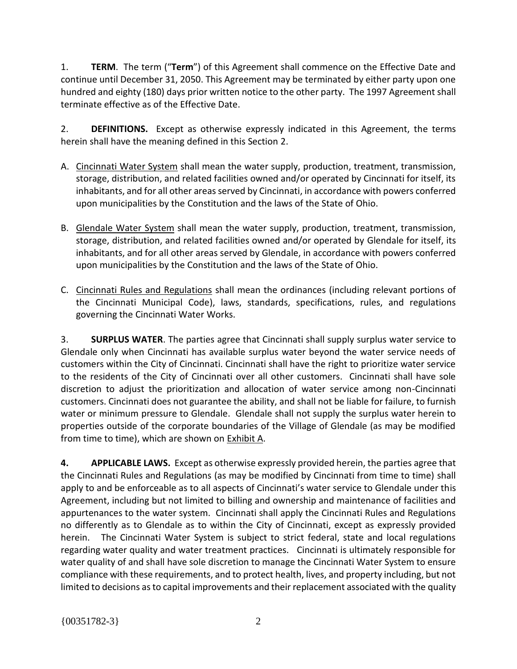1. **TERM**. The term ("**Term**") of this Agreement shall commence on the Effective Date and continue until December 31, 2050. This Agreement may be terminated by either party upon one hundred and eighty (180) days prior written notice to the other party. The 1997 Agreement shall terminate effective as of the Effective Date.

2. **DEFINITIONS.** Except as otherwise expressly indicated in this Agreement, the terms herein shall have the meaning defined in this Section 2.

- A. Cincinnati Water System shall mean the water supply, production, treatment, transmission, storage, distribution, and related facilities owned and/or operated by Cincinnati for itself, its inhabitants, and for all other areas served by Cincinnati, in accordance with powers conferred upon municipalities by the Constitution and the laws of the State of Ohio.
- B. Glendale Water System shall mean the water supply, production, treatment, transmission, storage, distribution, and related facilities owned and/or operated by Glendale for itself, its inhabitants, and for all other areas served by Glendale, in accordance with powers conferred upon municipalities by the Constitution and the laws of the State of Ohio.
- C. Cincinnati Rules and Regulations shall mean the ordinances (including relevant portions of the Cincinnati Municipal Code), laws, standards, specifications, rules, and regulations governing the Cincinnati Water Works.

3. **SURPLUS WATER**. The parties agree that Cincinnati shall supply surplus water service to Glendale only when Cincinnati has available surplus water beyond the water service needs of customers within the City of Cincinnati. Cincinnati shall have the right to prioritize water service to the residents of the City of Cincinnati over all other customers. Cincinnati shall have sole discretion to adjust the prioritization and allocation of water service among non-Cincinnati customers. Cincinnati does not guarantee the ability, and shall not be liable for failure, to furnish water or minimum pressure to Glendale. Glendale shall not supply the surplus water herein to properties outside of the corporate boundaries of the Village of Glendale (as may be modified from time to time), which are shown on Exhibit A.

**4. APPLICABLE LAWS.** Except as otherwise expressly provided herein, the parties agree that the Cincinnati Rules and Regulations (as may be modified by Cincinnati from time to time) shall apply to and be enforceable as to all aspects of Cincinnati's water service to Glendale under this Agreement, including but not limited to billing and ownership and maintenance of facilities and appurtenances to the water system. Cincinnati shall apply the Cincinnati Rules and Regulations no differently as to Glendale as to within the City of Cincinnati, except as expressly provided herein. The Cincinnati Water System is subject to strict federal, state and local regulations regarding water quality and water treatment practices. Cincinnati is ultimately responsible for water quality of and shall have sole discretion to manage the Cincinnati Water System to ensure compliance with these requirements, and to protect health, lives, and property including, but not limited to decisions as to capital improvements and their replacement associated with the quality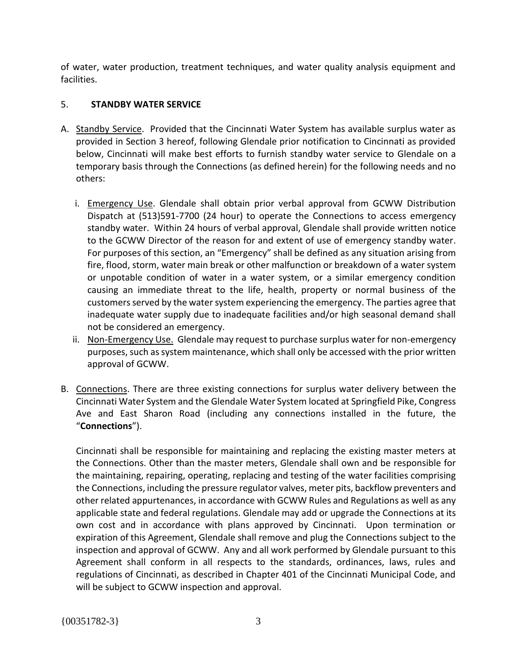of water, water production, treatment techniques, and water quality analysis equipment and facilities.

# 5. **STANDBY WATER SERVICE**

- A. Standby Service. Provided that the Cincinnati Water System has available surplus water as provided in Section 3 hereof, following Glendale prior notification to Cincinnati as provided below, Cincinnati will make best efforts to furnish standby water service to Glendale on a temporary basis through the Connections (as defined herein) for the following needs and no others:
	- i. **Emergency Use**. Glendale shall obtain prior verbal approval from GCWW Distribution Dispatch at (513)591-7700 (24 hour) to operate the Connections to access emergency standby water. Within 24 hours of verbal approval, Glendale shall provide written notice to the GCWW Director of the reason for and extent of use of emergency standby water. For purposes of this section, an "Emergency" shall be defined as any situation arising from fire, flood, storm, water main break or other malfunction or breakdown of a water system or unpotable condition of water in a water system, or a similar emergency condition causing an immediate threat to the life, health, property or normal business of the customers served by the water system experiencing the emergency. The parties agree that inadequate water supply due to inadequate facilities and/or high seasonal demand shall not be considered an emergency.
	- ii. Non-Emergency Use. Glendale may request to purchase surplus water for non-emergency purposes, such as system maintenance, which shall only be accessed with the prior written approval of GCWW.
- B. Connections. There are three existing connections for surplus water delivery between the Cincinnati Water System and the Glendale Water System located at Springfield Pike, Congress Ave and East Sharon Road (including any connections installed in the future, the "**Connections**").

Cincinnati shall be responsible for maintaining and replacing the existing master meters at the Connections. Other than the master meters, Glendale shall own and be responsible for the maintaining, repairing, operating, replacing and testing of the water facilities comprising the Connections, including the pressure regulator valves, meter pits, backflow preventers and other related appurtenances, in accordance with GCWW Rules and Regulations as well as any applicable state and federal regulations. Glendale may add or upgrade the Connections at its own cost and in accordance with plans approved by Cincinnati. Upon termination or expiration of this Agreement, Glendale shall remove and plug the Connections subject to the inspection and approval of GCWW. Any and all work performed by Glendale pursuant to this Agreement shall conform in all respects to the standards, ordinances, laws, rules and regulations of Cincinnati, as described in Chapter 401 of the Cincinnati Municipal Code, and will be subject to GCWW inspection and approval.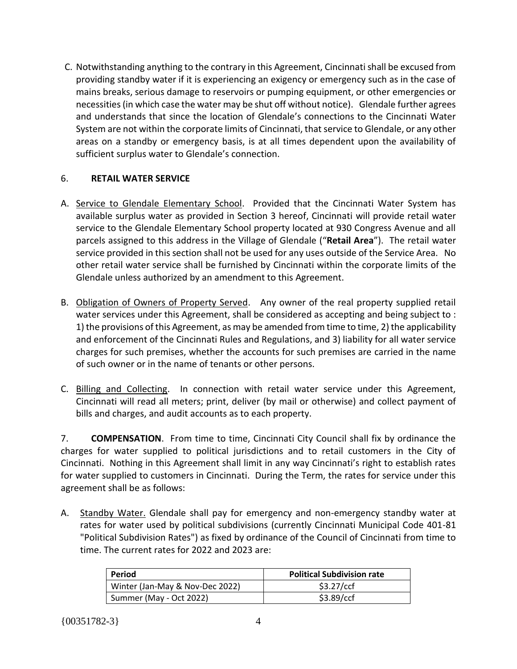C. Notwithstanding anything to the contrary in this Agreement, Cincinnati shall be excused from providing standby water if it is experiencing an exigency or emergency such as in the case of mains breaks, serious damage to reservoirs or pumping equipment, or other emergencies or necessities (in which case the water may be shut off without notice). Glendale further agrees and understands that since the location of Glendale's connections to the Cincinnati Water System are not within the corporate limits of Cincinnati, that service to Glendale, or any other areas on a standby or emergency basis, is at all times dependent upon the availability of sufficient surplus water to Glendale's connection.

# 6. **RETAIL WATER SERVICE**

- A. Service to Glendale Elementary School. Provided that the Cincinnati Water System has available surplus water as provided in Section 3 hereof, Cincinnati will provide retail water service to the Glendale Elementary School property located at 930 Congress Avenue and all parcels assigned to this address in the Village of Glendale ("**Retail Area**"). The retail water service provided in this section shall not be used for any uses outside of the Service Area. No other retail water service shall be furnished by Cincinnati within the corporate limits of the Glendale unless authorized by an amendment to this Agreement.
- B. Obligation of Owners of Property Served. Any owner of the real property supplied retail water services under this Agreement, shall be considered as accepting and being subject to : 1) the provisions of this Agreement, as may be amended from time to time, 2) the applicability and enforcement of the Cincinnati Rules and Regulations, and 3) liability for all water service charges for such premises, whether the accounts for such premises are carried in the name of such owner or in the name of tenants or other persons.
- C. Billing and Collecting. In connection with retail water service under this Agreement, Cincinnati will read all meters; print, deliver (by mail or otherwise) and collect payment of bills and charges, and audit accounts as to each property.

7. **COMPENSATION**. From time to time, Cincinnati City Council shall fix by ordinance the charges for water supplied to political jurisdictions and to retail customers in the City of Cincinnati. Nothing in this Agreement shall limit in any way Cincinnati's right to establish rates for water supplied to customers in Cincinnati. During the Term, the rates for service under this agreement shall be as follows:

A. Standby Water. Glendale shall pay for emergency and non-emergency standby water at rates for water used by political subdivisions (currently Cincinnati Municipal Code 401-81 "Political Subdivision Rates") as fixed by ordinance of the Council of Cincinnati from time to time. The current rates for 2022 and 2023 are:

| Period                          | <b>Political Subdivision rate</b> |
|---------------------------------|-----------------------------------|
| Winter (Jan-May & Nov-Dec 2022) | \$3.27/ccf                        |
| Summer (May - Oct 2022)         | \$3.89/ccf                        |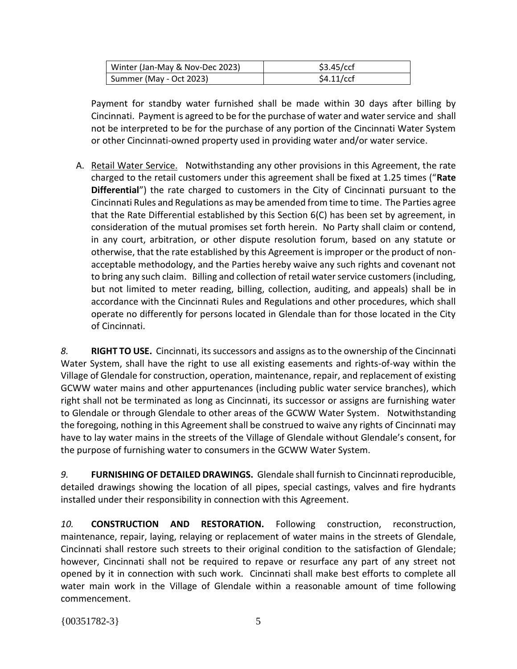| Winter (Jan-May & Nov-Dec 2023) | \$3.45/ccf |
|---------------------------------|------------|
| Summer (May - Oct 2023)         | \$4.11/ccf |

Payment for standby water furnished shall be made within 30 days after billing by Cincinnati. Payment is agreed to be for the purchase of water and water service and shall not be interpreted to be for the purchase of any portion of the Cincinnati Water System or other Cincinnati-owned property used in providing water and/or water service.

A. Retail Water Service. Notwithstanding any other provisions in this Agreement, the rate charged to the retail customers under this agreement shall be fixed at 1.25 times ("**Rate Differential**") the rate charged to customers in the City of Cincinnati pursuant to the Cincinnati Rules and Regulations as may be amended from time to time. The Parties agree that the Rate Differential established by this Section 6(C) has been set by agreement, in consideration of the mutual promises set forth herein. No Party shall claim or contend, in any court, arbitration, or other dispute resolution forum, based on any statute or otherwise, that the rate established by this Agreement is improper or the product of nonacceptable methodology, and the Parties hereby waive any such rights and covenant not to bring any such claim. Billing and collection of retail water service customers (including, but not limited to meter reading, billing, collection, auditing, and appeals) shall be in accordance with the Cincinnati Rules and Regulations and other procedures, which shall operate no differently for persons located in Glendale than for those located in the City of Cincinnati.

*8.* **RIGHT TO USE.** Cincinnati, its successors and assigns as to the ownership of the Cincinnati Water System, shall have the right to use all existing easements and rights-of-way within the Village of Glendale for construction, operation, maintenance, repair, and replacement of existing GCWW water mains and other appurtenances (including public water service branches), which right shall not be terminated as long as Cincinnati, its successor or assigns are furnishing water to Glendale or through Glendale to other areas of the GCWW Water System. Notwithstanding the foregoing, nothing in this Agreement shall be construed to waive any rights of Cincinnati may have to lay water mains in the streets of the Village of Glendale without Glendale's consent, for the purpose of furnishing water to consumers in the GCWW Water System.

*9.* **FURNISHING OF DETAILED DRAWINGS.** Glendale shall furnish to Cincinnati reproducible, detailed drawings showing the location of all pipes, special castings, valves and fire hydrants installed under their responsibility in connection with this Agreement.

*10.* **CONSTRUCTION AND RESTORATION.** Following construction, reconstruction, maintenance, repair, laying, relaying or replacement of water mains in the streets of Glendale, Cincinnati shall restore such streets to their original condition to the satisfaction of Glendale; however, Cincinnati shall not be required to repave or resurface any part of any street not opened by it in connection with such work. Cincinnati shall make best efforts to complete all water main work in the Village of Glendale within a reasonable amount of time following commencement.

 $\{00351782-3\}$  5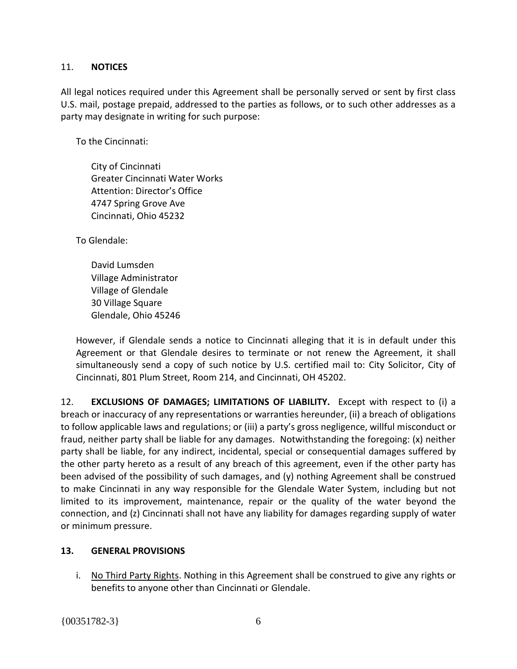### 11. **NOTICES**

All legal notices required under this Agreement shall be personally served or sent by first class U.S. mail, postage prepaid, addressed to the parties as follows, or to such other addresses as a party may designate in writing for such purpose:

To the Cincinnati:

City of Cincinnati Greater Cincinnati Water Works Attention: Director's Office 4747 Spring Grove Ave Cincinnati, Ohio 45232

To Glendale:

David Lumsden Village Administrator Village of Glendale 30 Village Square Glendale, Ohio 45246

However, if Glendale sends a notice to Cincinnati alleging that it is in default under this Agreement or that Glendale desires to terminate or not renew the Agreement, it shall simultaneously send a copy of such notice by U.S. certified mail to: City Solicitor, City of Cincinnati, 801 Plum Street, Room 214, and Cincinnati, OH 45202.

12. **EXCLUSIONS OF DAMAGES; LIMITATIONS OF LIABILITY.** Except with respect to (i) a breach or inaccuracy of any representations or warranties hereunder, (ii) a breach of obligations to follow applicable laws and regulations; or (iii) a party's gross negligence, willful misconduct or fraud, neither party shall be liable for any damages. Notwithstanding the foregoing: (x) neither party shall be liable, for any indirect, incidental, special or consequential damages suffered by the other party hereto as a result of any breach of this agreement, even if the other party has been advised of the possibility of such damages, and (y) nothing Agreement shall be construed to make Cincinnati in any way responsible for the Glendale Water System, including but not limited to its improvement, maintenance, repair or the quality of the water beyond the connection, and (z) Cincinnati shall not have any liability for damages regarding supply of water or minimum pressure.

# **13. GENERAL PROVISIONS**

i. No Third Party Rights. Nothing in this Agreement shall be construed to give any rights or benefits to anyone other than Cincinnati or Glendale.

{00351782-3} 6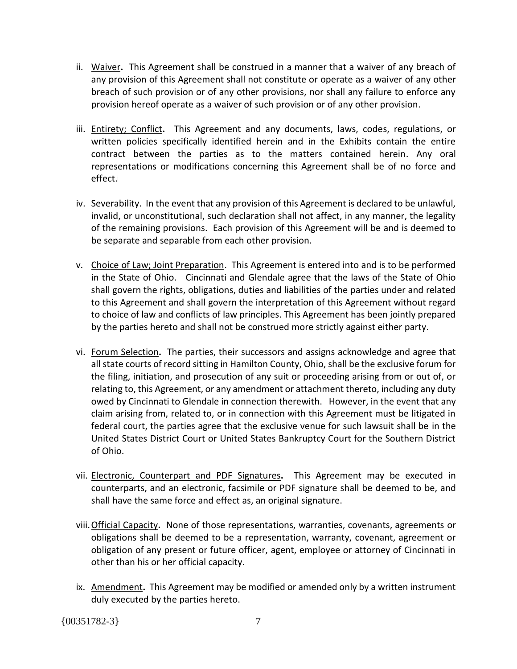- ii. Waiver**.** This Agreement shall be construed in a manner that a waiver of any breach of any provision of this Agreement shall not constitute or operate as a waiver of any other breach of such provision or of any other provisions, nor shall any failure to enforce any provision hereof operate as a waiver of such provision or of any other provision.
- iii. Entirety; Conflict**.** This Agreement and any documents, laws, codes, regulations, or written policies specifically identified herein and in the Exhibits contain the entire contract between the parties as to the matters contained herein. Any oral representations or modifications concerning this Agreement shall be of no force and effect.
- iv. Severability. In the event that any provision of this Agreement is declared to be unlawful, invalid, or unconstitutional, such declaration shall not affect, in any manner, the legality of the remaining provisions. Each provision of this Agreement will be and is deemed to be separate and separable from each other provision.
- v. Choice of Law; Joint Preparation.This Agreement is entered into and is to be performed in the State of Ohio. Cincinnati and Glendale agree that the laws of the State of Ohio shall govern the rights, obligations, duties and liabilities of the parties under and related to this Agreement and shall govern the interpretation of this Agreement without regard to choice of law and conflicts of law principles. This Agreement has been jointly prepared by the parties hereto and shall not be construed more strictly against either party.
- vi. Forum Selection**.** The parties, their successors and assigns acknowledge and agree that all state courts of record sitting in Hamilton County, Ohio, shall be the exclusive forum for the filing, initiation, and prosecution of any suit or proceeding arising from or out of, or relating to, this Agreement, or any amendment or attachment thereto, including any duty owed by Cincinnati to Glendale in connection therewith. However, in the event that any claim arising from, related to, or in connection with this Agreement must be litigated in federal court, the parties agree that the exclusive venue for such lawsuit shall be in the United States District Court or United States Bankruptcy Court for the Southern District of Ohio.
- vii. Electronic, Counterpart and PDF Signatures**.** This Agreement may be executed in counterparts, and an electronic, facsimile or PDF signature shall be deemed to be, and shall have the same force and effect as, an original signature.
- viii.Official Capacity**.** None of those representations, warranties, covenants, agreements or obligations shall be deemed to be a representation, warranty, covenant, agreement or obligation of any present or future officer, agent, employee or attorney of Cincinnati in other than his or her official capacity.
- ix. Amendment**.** This Agreement may be modified or amended only by a written instrument duly executed by the parties hereto.

 $\{00351782-3\}$  7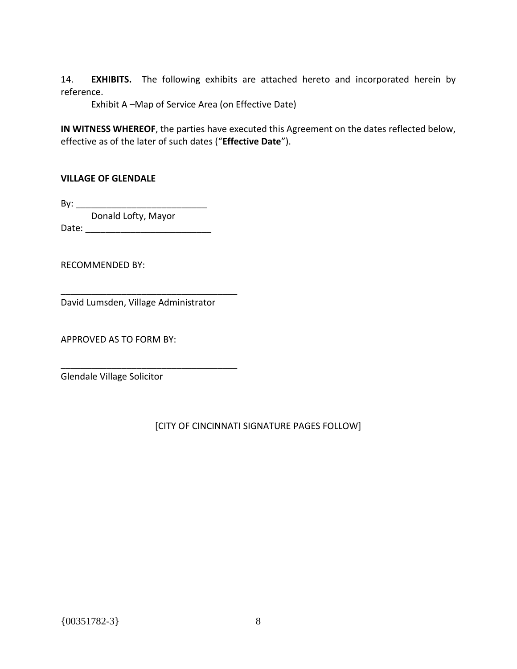14. **EXHIBITS.** The following exhibits are attached hereto and incorporated herein by reference.

Exhibit A –Map of Service Area (on Effective Date)

**IN WITNESS WHEREOF**, the parties have executed this Agreement on the dates reflected below, effective as of the later of such dates ("**Effective Date**").

### **VILLAGE OF GLENDALE**

By: \_\_\_\_\_\_\_\_\_\_\_\_\_\_\_\_\_\_\_\_\_\_\_\_\_\_ Donald Lofty, Mayor Date:  $\Box$ 

RECOMMENDED BY:

David Lumsden, Village Administrator

\_\_\_\_\_\_\_\_\_\_\_\_\_\_\_\_\_\_\_\_\_\_\_\_\_\_\_\_\_\_\_\_\_\_\_

\_\_\_\_\_\_\_\_\_\_\_\_\_\_\_\_\_\_\_\_\_\_\_\_\_\_\_\_\_\_\_\_\_\_\_

APPROVED AS TO FORM BY:

Glendale Village Solicitor

### [CITY OF CINCINNATI SIGNATURE PAGES FOLLOW]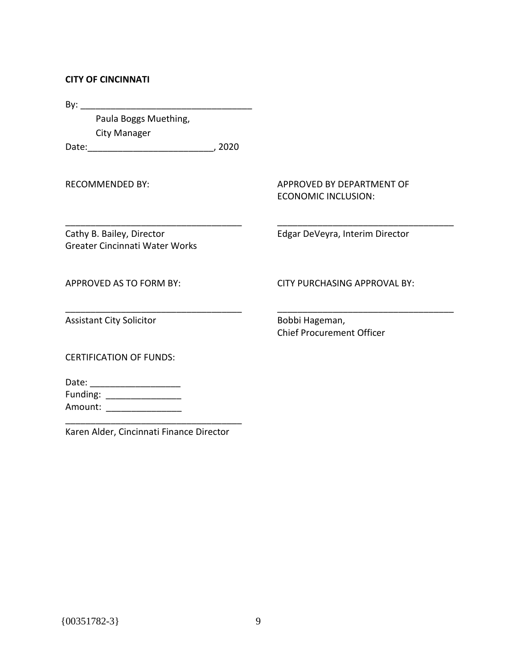#### **CITY OF CINCINNATI**

By: \_\_\_\_\_\_\_\_\_\_\_\_\_\_\_\_\_\_\_\_\_\_\_\_\_\_\_\_\_\_\_\_\_\_

Paula Boggs Muething, City Manager

Date:\_\_\_\_\_\_\_\_\_\_\_\_\_\_\_\_\_\_\_\_\_\_\_\_\_, 2020

\_\_\_\_\_\_\_\_\_\_\_\_\_\_\_\_\_\_\_\_\_\_\_\_\_\_\_\_\_\_\_\_\_\_\_

\_\_\_\_\_\_\_\_\_\_\_\_\_\_\_\_\_\_\_\_\_\_\_\_\_\_\_\_\_\_\_\_\_\_\_

RECOMMENDED BY:

APPROVED BY DEPARTMENT OF ECONOMIC INCLUSION:

Edgar DeVeyra, Interim Director

\_\_\_\_\_\_\_\_\_\_\_\_\_\_\_\_\_\_\_\_\_\_\_\_\_\_\_\_\_\_\_\_\_\_\_

\_\_\_\_\_\_\_\_\_\_\_\_\_\_\_\_\_\_\_\_\_\_\_\_\_\_\_\_\_\_\_\_\_\_\_

Cathy B. Bailey, Director Greater Cincinnati Water Works

APPROVED AS TO FORM BY:

CITY PURCHASING APPROVAL BY:

Assistant City Solicitor

Bobbi Hageman, Chief Procurement Officer

CERTIFICATION OF FUNDS:

Date: \_\_\_\_\_\_\_\_\_\_\_\_\_\_\_\_\_\_ Funding: \_\_\_\_\_\_\_\_\_\_\_\_\_\_\_\_\_\_\_\_ Amount: \_\_\_\_\_\_\_\_\_\_\_\_\_\_\_\_\_\_

\_\_\_\_\_\_\_\_\_\_\_\_\_\_\_\_\_\_\_\_\_\_\_\_\_\_\_\_\_\_\_\_\_\_\_ Karen Alder, Cincinnati Finance Director

{00351782-3} 9